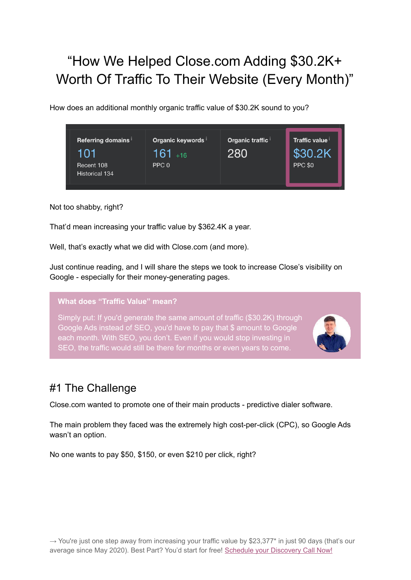# "How We Helped Close.com Adding \$30.2K+ Worth Of Traffic To Their Website (Every Month)"

How does an additional monthly organic traffic value of \$30.2K sound to you?



### Not too shabby, right?

That'd mean increasing your traffic value by \$362.4K a year.

Well, that's exactly what we did with Close.com (and more).

Just continue reading, and I will share the steps we took to increase Close's visibility on Google - especially for their money-generating pages.

### **What does "Traffic Value" mean?**

Simply put: If you'd generate the same amount of traffic (\$30.2K) through Google Ads instead of SEO, you'd have to pay that \$ amount to Google each month. With SEO, you don't. Even if you would stop investing in SEO, the traffic would still be there for months or even years to come.



## #1 The Challenge

Close.com wanted to promote one of their main products - predictive dialer software.

The main problem they faced was the extremely high cost-per-click (CPC), so Google Ads wasn't an option.

No one wants to pay \$50, \$150, or even \$210 per click, right?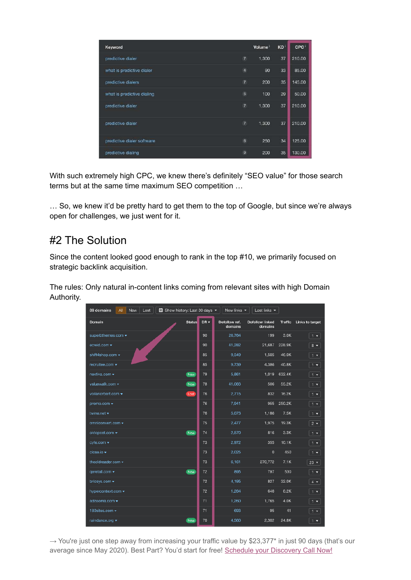| Keyword                                      | Volume | KD <sup>1</sup> | CPC <sup>1</sup> |
|----------------------------------------------|--------|-----------------|------------------|
| $\overline{7}$<br>predictive dialer          | 1,300  | 37              | 210.00           |
| 4<br>what is predictive dialer               | 90     | 33              | 85.00            |
| $\overline{7}$<br>predictive dialers         | 200    | 35              | 145.00           |
| $\overline{5}$<br>what is predictive dialing | 100    | 29              | 50.00            |
| 7<br>predictive dialer                       | 1,300  | 37              | 210.00           |
| $\overline{7}$<br>predictive dialer          | 1,300  | 37              | 210.00           |
| 6<br>predictive dialer software              | 250    | 34              | 125.00           |
| $\ddot{\mathbf{g}}$<br>predictive dialing    | 200    | 35              | 130.00           |

With such extremely high CPC, we knew there's definitely "SEO value" for those search terms but at the same time maximum SEO competition …

… So, we knew it'd be pretty hard to get them to the top of Google, but since we're always open for challenges, we just went for it.

## #2 The Solution

Since the content looked good enough to rank in the top #10, we primarily focused on strategic backlink acquisition.

The rules: Only natural in-content links coming from relevant sites with high Domain Authority.

| <b>b</b> Show history: Last 30 days ▼<br>New links $\blacktriangledown$<br>Lost links $\blacktriangledown$<br>86 domains<br>All<br>New<br>Lost |                 |                          |                                   |                |                 |  |  |  |  |
|------------------------------------------------------------------------------------------------------------------------------------------------|-----------------|--------------------------|-----------------------------------|----------------|-----------------|--|--|--|--|
| <b>Status</b><br>Domain                                                                                                                        | DR <sub>v</sub> | Dofollow ref.<br>domains | <b>Dofollow linked</b><br>domains | <b>Traffic</b> | Links to target |  |  |  |  |
| superbthemes.com +                                                                                                                             | 90              | 26,764                   | 199                               | 3.0K           | $1 -$           |  |  |  |  |
| ecwid.com v                                                                                                                                    | 90              | 41,282                   | 21,687                            | 228.9K         | $8 -$           |  |  |  |  |
| shift4shop.com v                                                                                                                               | 85              | 9,549                    | 1,505                             | 46.0K          | $1 -$           |  |  |  |  |
| recruitee.com ▼                                                                                                                                | 85              | 9.739                    | 4.386                             | 40.8K          | $1 -$           |  |  |  |  |
| nextiva.com =<br>New                                                                                                                           | 79              | 5,861                    | 1,019                             | 632.4K         | $1 -$           |  |  |  |  |
| valuewalk.com v<br>New                                                                                                                         | 78              | 41.083                   | 506                               | 55.2K          | $1 -$           |  |  |  |  |
| voilanorbert.com v<br>Lost                                                                                                                     | 76              | 2,715                    | 832                               | 16.2K          | $1 -$           |  |  |  |  |
| promo.com *                                                                                                                                    | 76              | 7.941                    | 955                               | 250.2K         | $1 -$           |  |  |  |  |
| twine.net $\blacktriangleright$                                                                                                                | 76              | 5,073                    | 1,186                             | 7.5K           | $1 -$           |  |  |  |  |
| omniconvert.com -                                                                                                                              | 75              | 2,477                    | 1,975                             | 19.3K          | $2 \times$      |  |  |  |  |
| oktopost.com ▼<br>New                                                                                                                          | 74              | 2,570                    | 816                               | 3.3K           | $1 -$           |  |  |  |  |
| cyfe.com *                                                                                                                                     | 73              | 2,972                    | 355                               | 10.1K          | $1 -$           |  |  |  |  |
| close.io v                                                                                                                                     | 73              | 2.025                    | $\mathbf 0$                       | 450            | $1 -$           |  |  |  |  |
| theoldreader.com v                                                                                                                             | 73              | 6,161                    | 270,772                           | 7.1K           | $23 -$          |  |  |  |  |
| qeretail.com ▼<br>New                                                                                                                          | 72              | 895                      | 797                               | 530            | $1 -$           |  |  |  |  |
| bricsys.com =                                                                                                                                  | 72              | 4,195                    | 827                               | 32.0K          | $4 -$           |  |  |  |  |
| hypercontext.com +                                                                                                                             | 72              | 1.284                    | 648                               | 8.2K           | $1 -$           |  |  |  |  |
| adzooma.com =                                                                                                                                  | 71              | 1,260                    | 1,765                             | 4.0K           | $1 -$           |  |  |  |  |
| 180sites.com -                                                                                                                                 | 71              | 693                      | 95                                | 41             | $1 -$           |  |  |  |  |
| New<br>raindance.org v                                                                                                                         | 70              | 4,560                    | 2,302                             | 24.8K          | $1 -$           |  |  |  |  |

 $\rightarrow$  You're just one step away from increasing your traffic value by \$23,377\* in just 90 days (that's our average since May 2020). Best Part? You'd start for free! [Schedule your Discovery Call Now!](https://novumhq.com/consulting/)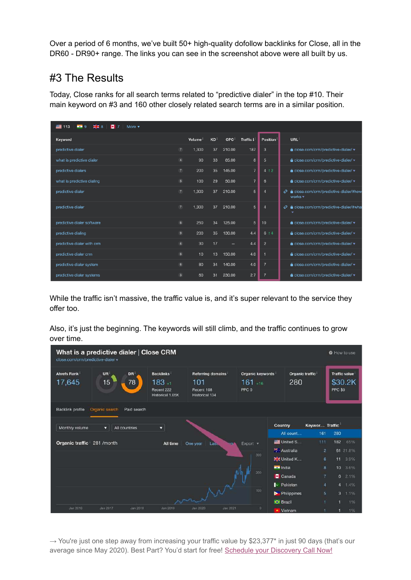Over a period of 6 months, we've built 50+ high-quality dofollow backlinks for Close, all in the DR60 - DR90+ range. The links you can see in the screenshot above were all built by us.

# #3 The Results

Today, Close ranks for all search terms related to "predictive dialer" in the top #10. Their main keyword on #3 and 160 other closely related search terms are in a similar position.

| 19 7<br>■ 113<br>$H = 8$<br>More $\blacktriangledown$<br>$-9$ |                |        |                 |            |                |                 |                                                                              |
|---------------------------------------------------------------|----------------|--------|-----------------|------------|----------------|-----------------|------------------------------------------------------------------------------|
| Keyword                                                       |                | Volume | KD <sup>i</sup> | <b>CPC</b> | Traffic 1      | <b>Position</b> | URL <sup>i</sup>                                                             |
| predictive dialer                                             | $\overline{7}$ | 1.300  | 37              | 210.00     | 187            | 3               | & close.com/crm/predictive-dialer/ v                                         |
| what is predictive dialer                                     | $\overline{4}$ | 90     | 33              | 85.00      | 8              | 5               | a close.com/crm/predictive-dialer/ v                                         |
| predictive dialers                                            | $\overline{7}$ | 200    | 35              | 145.00     | $\overline{7}$ | 4 1 2           | <b>a</b> close.com/crm/predictive-dialer/ ▼                                  |
| what is predictive dialing                                    | 5              | 100    | 29              | 50.00      | 7              | 6               | <b>a</b> close.com/crm/predictive-dialer/ ▼                                  |
| predictive dialer                                             | $\overline{7}$ | 1,300  | 37              | 210.00     | 5              | $\overline{4}$  | a close.com/crm/predictive-dialer/#how<br>e<br>works $\overline{\mathbf{v}}$ |
| predictive dialer                                             | $\overline{7}$ | 1.300  | 37              | 210.00     | 5              | $\overline{4}$  | 6 close.com/crm/predictive-dialer/#what<br>e                                 |
| predictive dialer software                                    | 6              | 250    | 34              | 125.00     | 5              | 10              | a close.com/crm/predictive-dialer/ v                                         |
| predictive dialing                                            | 9              | 200    | 35              | 130.00     | 4.4            | 6 14            | fa close.com/crm/predictive-dialer/ ▼                                        |
| predictive dialer with crm                                    | $\overline{4}$ | 30     | 17              |            | 4.4            | $\overline{2}$  | <b>a</b> close.com/crm/predictive-dialer/ ▼                                  |
| predictive dialer crm                                         | 6              | 10     | 13              | 150.00     | 4.0            |                 | a close.com/crm/predictive-dialer/ v                                         |
| predictive dialer system                                      | 6              | 80     | 34              | 140.00     | 4.0            | $\overline{7}$  | fa close.com/crm/predictive-dialer/ ▼                                        |
| predictive dialer systems                                     | $\mathbf{3}$   | 60     | 31              | 230.00     | 2.7            | 7               | 6 close.com/crm/predictive-dialer/ ▼                                         |

While the traffic isn't massive, the traffic value is, and it's super relevant to the service they offer too.

Also, it's just the beginning. The keywords will still climb, and the traffic continues to grow over time.



 $\rightarrow$  You're just one step away from increasing your traffic value by \$23,377\* in just 90 days (that's our average since May 2020). Best Part? You'd start for free! [Schedule your Discovery Call Now!](https://novumhq.com/consulting/)